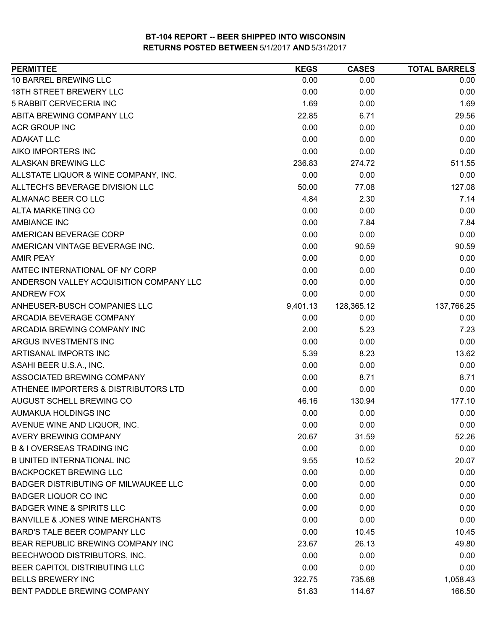| <b>PERMITTEE</b>                            | <b>KEGS</b> | <b>CASES</b> | <b>TOTAL BARRELS</b> |
|---------------------------------------------|-------------|--------------|----------------------|
| 10 BARREL BREWING LLC                       | 0.00        | 0.00         | 0.00                 |
| <b>18TH STREET BREWERY LLC</b>              | 0.00        | 0.00         | 0.00                 |
| 5 RABBIT CERVECERIA INC                     | 1.69        | 0.00         | 1.69                 |
| ABITA BREWING COMPANY LLC                   | 22.85       | 6.71         | 29.56                |
| <b>ACR GROUP INC</b>                        | 0.00        | 0.00         | 0.00                 |
| <b>ADAKAT LLC</b>                           | 0.00        | 0.00         | 0.00                 |
| AIKO IMPORTERS INC                          | 0.00        | 0.00         | 0.00                 |
| ALASKAN BREWING LLC                         | 236.83      | 274.72       | 511.55               |
| ALLSTATE LIQUOR & WINE COMPANY, INC.        | 0.00        | 0.00         | 0.00                 |
| ALLTECH'S BEVERAGE DIVISION LLC             | 50.00       | 77.08        | 127.08               |
| ALMANAC BEER CO LLC                         | 4.84        | 2.30         | 7.14                 |
| <b>ALTA MARKETING CO</b>                    | 0.00        | 0.00         | 0.00                 |
| <b>AMBIANCE INC</b>                         | 0.00        | 7.84         | 7.84                 |
| AMERICAN BEVERAGE CORP                      | 0.00        | 0.00         | 0.00                 |
| AMERICAN VINTAGE BEVERAGE INC.              | 0.00        | 90.59        | 90.59                |
| <b>AMIR PEAY</b>                            | 0.00        | 0.00         | 0.00                 |
| AMTEC INTERNATIONAL OF NY CORP              | 0.00        | 0.00         | 0.00                 |
| ANDERSON VALLEY ACQUISITION COMPANY LLC     | 0.00        | 0.00         | 0.00                 |
| ANDREW FOX                                  | 0.00        | 0.00         | 0.00                 |
| ANHEUSER-BUSCH COMPANIES LLC                | 9,401.13    | 128,365.12   | 137,766.25           |
| ARCADIA BEVERAGE COMPANY                    | 0.00        | 0.00         | 0.00                 |
| ARCADIA BREWING COMPANY INC                 | 2.00        | 5.23         | 7.23                 |
| ARGUS INVESTMENTS INC                       | 0.00        | 0.00         | 0.00                 |
| ARTISANAL IMPORTS INC                       | 5.39        | 8.23         | 13.62                |
| ASAHI BEER U.S.A., INC.                     | 0.00        | 0.00         | 0.00                 |
| ASSOCIATED BREWING COMPANY                  | 0.00        | 8.71         | 8.71                 |
| ATHENEE IMPORTERS & DISTRIBUTORS LTD        | 0.00        | 0.00         | 0.00                 |
| AUGUST SCHELL BREWING CO                    | 46.16       | 130.94       | 177.10               |
| AUMAKUA HOLDINGS INC                        | 0.00        | 0.00         | 0.00                 |
| AVENUE WINE AND LIQUOR, INC.                | 0.00        | 0.00         | 0.00                 |
| AVERY BREWING COMPANY                       | 20.67       | 31.59        | 52.26                |
| <b>B &amp; I OVERSEAS TRADING INC</b>       | 0.00        | 0.00         | 0.00                 |
| <b>B UNITED INTERNATIONAL INC</b>           | 9.55        | 10.52        | 20.07                |
| <b>BACKPOCKET BREWING LLC</b>               | 0.00        | 0.00         | 0.00                 |
| <b>BADGER DISTRIBUTING OF MILWAUKEE LLC</b> | 0.00        | 0.00         | 0.00                 |
| <b>BADGER LIQUOR CO INC</b>                 | 0.00        | 0.00         | 0.00                 |
| <b>BADGER WINE &amp; SPIRITS LLC</b>        | 0.00        | 0.00         | 0.00                 |
| <b>BANVILLE &amp; JONES WINE MERCHANTS</b>  | 0.00        | 0.00         | 0.00                 |
| BARD'S TALE BEER COMPANY LLC                | 0.00        | 10.45        | 10.45                |
| BEAR REPUBLIC BREWING COMPANY INC           | 23.67       | 26.13        | 49.80                |
| BEECHWOOD DISTRIBUTORS, INC.                | 0.00        | 0.00         | 0.00                 |
| BEER CAPITOL DISTRIBUTING LLC               | 0.00        | 0.00         | 0.00                 |
| <b>BELLS BREWERY INC</b>                    | 322.75      | 735.68       | 1,058.43             |
| BENT PADDLE BREWING COMPANY                 | 51.83       | 114.67       | 166.50               |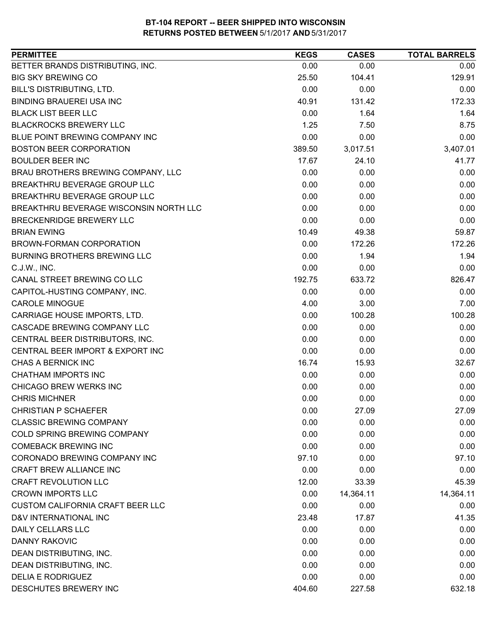| <b>PERMITTEE</b>                        | <b>KEGS</b> | <b>CASES</b> | <b>TOTAL BARRELS</b> |
|-----------------------------------------|-------------|--------------|----------------------|
| BETTER BRANDS DISTRIBUTING, INC.        | 0.00        | 0.00         | 0.00                 |
| <b>BIG SKY BREWING CO</b>               | 25.50       | 104.41       | 129.91               |
| BILL'S DISTRIBUTING, LTD.               | 0.00        | 0.00         | 0.00                 |
| <b>BINDING BRAUEREI USA INC</b>         | 40.91       | 131.42       | 172.33               |
| <b>BLACK LIST BEER LLC</b>              | 0.00        | 1.64         | 1.64                 |
| <b>BLACKROCKS BREWERY LLC</b>           | 1.25        | 7.50         | 8.75                 |
| BLUE POINT BREWING COMPANY INC          | 0.00        | 0.00         | 0.00                 |
| <b>BOSTON BEER CORPORATION</b>          | 389.50      | 3,017.51     | 3,407.01             |
| <b>BOULDER BEER INC</b>                 | 17.67       | 24.10        | 41.77                |
| BRAU BROTHERS BREWING COMPANY, LLC      | 0.00        | 0.00         | 0.00                 |
| BREAKTHRU BEVERAGE GROUP LLC            | 0.00        | 0.00         | 0.00                 |
| BREAKTHRU BEVERAGE GROUP LLC            | 0.00        | 0.00         | 0.00                 |
| BREAKTHRU BEVERAGE WISCONSIN NORTH LLC  | 0.00        | 0.00         | 0.00                 |
| <b>BRECKENRIDGE BREWERY LLC</b>         | 0.00        | 0.00         | 0.00                 |
| <b>BRIAN EWING</b>                      | 10.49       | 49.38        | 59.87                |
| BROWN-FORMAN CORPORATION                | 0.00        | 172.26       | 172.26               |
| BURNING BROTHERS BREWING LLC            | 0.00        | 1.94         | 1.94                 |
| C.J.W., INC.                            | 0.00        | 0.00         | 0.00                 |
| CANAL STREET BREWING CO LLC             | 192.75      | 633.72       | 826.47               |
| CAPITOL-HUSTING COMPANY, INC.           | 0.00        | 0.00         | 0.00                 |
| <b>CAROLE MINOGUE</b>                   | 4.00        | 3.00         | 7.00                 |
| CARRIAGE HOUSE IMPORTS, LTD.            | 0.00        | 100.28       | 100.28               |
| CASCADE BREWING COMPANY LLC             | 0.00        | 0.00         | 0.00                 |
| CENTRAL BEER DISTRIBUTORS, INC.         | 0.00        | 0.00         | 0.00                 |
| CENTRAL BEER IMPORT & EXPORT INC        | 0.00        | 0.00         | 0.00                 |
| CHAS A BERNICK INC                      | 16.74       | 15.93        | 32.67                |
| <b>CHATHAM IMPORTS INC</b>              | 0.00        | 0.00         | 0.00                 |
| CHICAGO BREW WERKS INC                  | 0.00        | 0.00         | 0.00                 |
| <b>CHRIS MICHNER</b>                    | 0.00        | 0.00         | 0.00                 |
| <b>CHRISTIAN P SCHAEFER</b>             | 0.00        | 27.09        | 27.09                |
| <b>CLASSIC BREWING COMPANY</b>          | 0.00        | 0.00         | 0.00                 |
| COLD SPRING BREWING COMPANY             | 0.00        | 0.00         | 0.00                 |
| <b>COMEBACK BREWING INC</b>             | 0.00        | 0.00         | 0.00                 |
| CORONADO BREWING COMPANY INC            | 97.10       | 0.00         | 97.10                |
| <b>CRAFT BREW ALLIANCE INC</b>          | 0.00        | 0.00         | 0.00                 |
| <b>CRAFT REVOLUTION LLC</b>             | 12.00       | 33.39        | 45.39                |
| <b>CROWN IMPORTS LLC</b>                | 0.00        | 14,364.11    | 14,364.11            |
| <b>CUSTOM CALIFORNIA CRAFT BEER LLC</b> | 0.00        | 0.00         | 0.00                 |
| D&V INTERNATIONAL INC                   | 23.48       | 17.87        | 41.35                |
| DAILY CELLARS LLC                       | 0.00        | 0.00         | 0.00                 |
| <b>DANNY RAKOVIC</b>                    | 0.00        | 0.00         | 0.00                 |
| DEAN DISTRIBUTING, INC.                 | 0.00        | 0.00         | 0.00                 |
| DEAN DISTRIBUTING, INC.                 | 0.00        | 0.00         | 0.00                 |
| <b>DELIA E RODRIGUEZ</b>                | 0.00        | 0.00         | 0.00                 |
| DESCHUTES BREWERY INC                   | 404.60      | 227.58       | 632.18               |
|                                         |             |              |                      |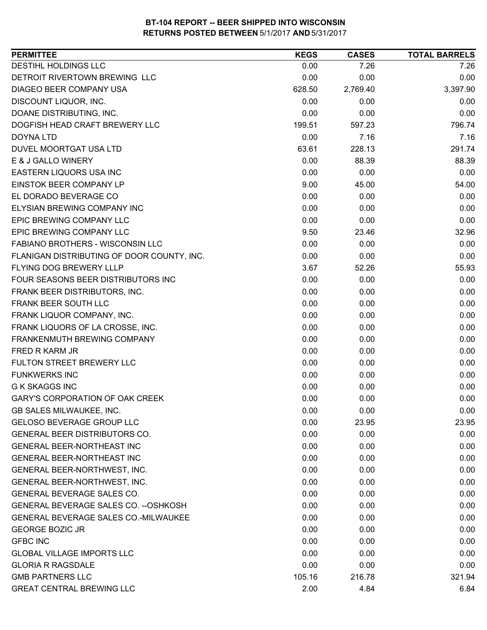| <b>PERMITTEE</b>                           | <b>KEGS</b> | <b>CASES</b> | <b>TOTAL BARRELS</b> |
|--------------------------------------------|-------------|--------------|----------------------|
| DESTIHL HOLDINGS LLC                       | 0.00        | 7.26         | 7.26                 |
| DETROIT RIVERTOWN BREWING LLC              | 0.00        | 0.00         | 0.00                 |
| DIAGEO BEER COMPANY USA                    | 628.50      | 2,769.40     | 3,397.90             |
| DISCOUNT LIQUOR, INC.                      | 0.00        | 0.00         | 0.00                 |
| DOANE DISTRIBUTING, INC.                   | 0.00        | 0.00         | 0.00                 |
| DOGFISH HEAD CRAFT BREWERY LLC             | 199.51      | 597.23       | 796.74               |
| DOYNA LTD                                  | 0.00        | 7.16         | 7.16                 |
| DUVEL MOORTGAT USA LTD                     | 63.61       | 228.13       | 291.74               |
| E & J GALLO WINERY                         | 0.00        | 88.39        | 88.39                |
| EASTERN LIQUORS USA INC                    | 0.00        | 0.00         | 0.00                 |
| EINSTOK BEER COMPANY LP                    | 9.00        | 45.00        | 54.00                |
| EL DORADO BEVERAGE CO                      | 0.00        | 0.00         | 0.00                 |
| <b>ELYSIAN BREWING COMPANY INC</b>         | 0.00        | 0.00         | 0.00                 |
| EPIC BREWING COMPANY LLC                   | 0.00        | 0.00         | 0.00                 |
| <b>EPIC BREWING COMPANY LLC</b>            | 9.50        | 23.46        | 32.96                |
| FABIANO BROTHERS - WISCONSIN LLC           | 0.00        | 0.00         | 0.00                 |
| FLANIGAN DISTRIBUTING OF DOOR COUNTY, INC. | 0.00        | 0.00         | 0.00                 |
| FLYING DOG BREWERY LLLP                    | 3.67        | 52.26        | 55.93                |
| FOUR SEASONS BEER DISTRIBUTORS INC         | 0.00        | 0.00         | 0.00                 |
| FRANK BEER DISTRIBUTORS, INC.              | 0.00        | 0.00         | 0.00                 |
| FRANK BEER SOUTH LLC                       | 0.00        | 0.00         | 0.00                 |
| FRANK LIQUOR COMPANY, INC.                 | 0.00        | 0.00         | 0.00                 |
| FRANK LIQUORS OF LA CROSSE, INC.           | 0.00        | 0.00         | 0.00                 |
| FRANKENMUTH BREWING COMPANY                | 0.00        | 0.00         | 0.00                 |
| FRED R KARM JR                             | 0.00        | 0.00         | 0.00                 |
| FULTON STREET BREWERY LLC                  | 0.00        | 0.00         | 0.00                 |
| <b>FUNKWERKS INC</b>                       | 0.00        | 0.00         | 0.00                 |
| <b>G K SKAGGS INC</b>                      | 0.00        | 0.00         | 0.00                 |
| <b>GARY'S CORPORATION OF OAK CREEK</b>     | 0.00        | 0.00         | 0.00                 |
| GB SALES MILWAUKEE, INC.                   | 0.00        | 0.00         | 0.00                 |
| <b>GELOSO BEVERAGE GROUP LLC</b>           | 0.00        | 23.95        | 23.95                |
| <b>GENERAL BEER DISTRIBUTORS CO.</b>       | 0.00        | 0.00         | 0.00                 |
| GENERAL BEER-NORTHEAST INC                 | 0.00        | 0.00         | 0.00                 |
| <b>GENERAL BEER-NORTHEAST INC</b>          | 0.00        | 0.00         | 0.00                 |
| GENERAL BEER-NORTHWEST, INC.               | 0.00        | 0.00         | 0.00                 |
| GENERAL BEER-NORTHWEST, INC.               | 0.00        | 0.00         | 0.00                 |
| GENERAL BEVERAGE SALES CO.                 | 0.00        | 0.00         | 0.00                 |
| GENERAL BEVERAGE SALES CO. -- OSHKOSH      | 0.00        | 0.00         | 0.00                 |
| GENERAL BEVERAGE SALES CO.-MILWAUKEE       | 0.00        | 0.00         | 0.00                 |
| <b>GEORGE BOZIC JR</b>                     | 0.00        | 0.00         | 0.00                 |
| <b>GFBC INC</b>                            | 0.00        | 0.00         | 0.00                 |
| <b>GLOBAL VILLAGE IMPORTS LLC</b>          | 0.00        | 0.00         | 0.00                 |
| <b>GLORIA R RAGSDALE</b>                   | 0.00        | 0.00         | 0.00                 |
| <b>GMB PARTNERS LLC</b>                    | 105.16      | 216.78       | 321.94               |
| <b>GREAT CENTRAL BREWING LLC</b>           | 2.00        | 4.84         | 6.84                 |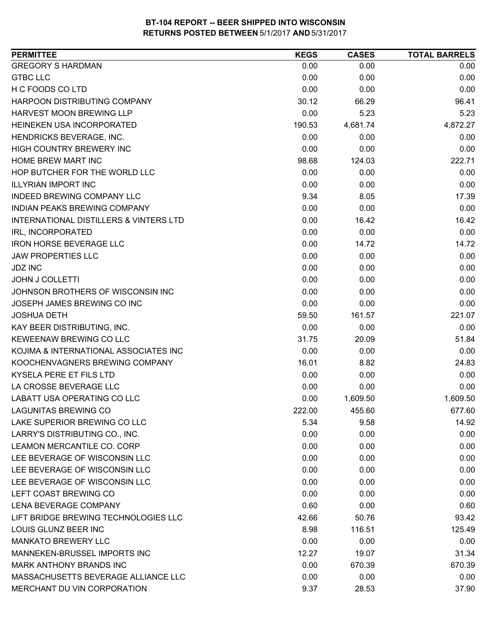| <b>PERMITTEE</b>                                  | <b>KEGS</b> | <b>CASES</b> | <b>TOTAL BARRELS</b> |
|---------------------------------------------------|-------------|--------------|----------------------|
| <b>GREGORY S HARDMAN</b>                          | 0.00        | 0.00         | 0.00                 |
| <b>GTBC LLC</b>                                   | 0.00        | 0.00         | 0.00                 |
| H C FOODS CO LTD                                  | 0.00        | 0.00         | 0.00                 |
| HARPOON DISTRIBUTING COMPANY                      | 30.12       | 66.29        | 96.41                |
| HARVEST MOON BREWING LLP                          | 0.00        | 5.23         | 5.23                 |
| HEINEKEN USA INCORPORATED                         | 190.53      | 4,681.74     | 4,872.27             |
| HENDRICKS BEVERAGE, INC.                          | 0.00        | 0.00         | 0.00                 |
| <b>HIGH COUNTRY BREWERY INC</b>                   | 0.00        | 0.00         | 0.00                 |
| HOME BREW MART INC                                | 98.68       | 124.03       | 222.71               |
| HOP BUTCHER FOR THE WORLD LLC                     | 0.00        | 0.00         | 0.00                 |
| <b>ILLYRIAN IMPORT INC</b>                        | 0.00        | 0.00         | 0.00                 |
| INDEED BREWING COMPANY LLC                        | 9.34        | 8.05         | 17.39                |
| <b>INDIAN PEAKS BREWING COMPANY</b>               | 0.00        | 0.00         | 0.00                 |
| <b>INTERNATIONAL DISTILLERS &amp; VINTERS LTD</b> | 0.00        | 16.42        | 16.42                |
| IRL, INCORPORATED                                 | 0.00        | 0.00         | 0.00                 |
| <b>IRON HORSE BEVERAGE LLC</b>                    | 0.00        | 14.72        | 14.72                |
| <b>JAW PROPERTIES LLC</b>                         | 0.00        | 0.00         | 0.00                 |
| <b>JDZ INC</b>                                    | 0.00        | 0.00         | 0.00                 |
| <b>JOHN J COLLETTI</b>                            | 0.00        | 0.00         | 0.00                 |
| JOHNSON BROTHERS OF WISCONSIN INC                 | 0.00        | 0.00         | 0.00                 |
| JOSEPH JAMES BREWING CO INC                       | 0.00        | 0.00         | 0.00                 |
| <b>JOSHUA DETH</b>                                | 59.50       | 161.57       | 221.07               |
| KAY BEER DISTRIBUTING, INC.                       | 0.00        | 0.00         | 0.00                 |
| KEWEENAW BREWING CO LLC                           | 31.75       | 20.09        | 51.84                |
| KOJIMA & INTERNATIONAL ASSOCIATES INC             | 0.00        | 0.00         | 0.00                 |
| KOOCHENVAGNERS BREWING COMPANY                    | 16.01       | 8.82         | 24.83                |
| KYSELA PERE ET FILS LTD                           | 0.00        | 0.00         | 0.00                 |
| LA CROSSE BEVERAGE LLC                            | 0.00        | 0.00         | 0.00                 |
| <b>LABATT USA OPERATING CO LLC</b>                | 0.00        | 1,609.50     | 1,609.50             |
| <b>LAGUNITAS BREWING CO</b>                       | 222.00      | 455.60       | 677.60               |
| LAKE SUPERIOR BREWING CO LLC                      | 5.34        | 9.58         | 14.92                |
| LARRY'S DISTRIBUTING CO., INC.                    | 0.00        | 0.00         | 0.00                 |
| LEAMON MERCANTILE CO. CORP                        | 0.00        | 0.00         | 0.00                 |
| LEE BEVERAGE OF WISCONSIN LLC                     | 0.00        | 0.00         | 0.00                 |
| LEE BEVERAGE OF WISCONSIN LLC                     | 0.00        | 0.00         | 0.00                 |
| LEE BEVERAGE OF WISCONSIN LLC                     | 0.00        | 0.00         | 0.00                 |
| LEFT COAST BREWING CO                             | 0.00        | 0.00         | 0.00                 |
| LENA BEVERAGE COMPANY                             | 0.60        | 0.00         | 0.60                 |
| LIFT BRIDGE BREWING TECHNOLOGIES LLC              | 42.66       | 50.76        | 93.42                |
| LOUIS GLUNZ BEER INC                              | 8.98        | 116.51       | 125.49               |
| <b>MANKATO BREWERY LLC</b>                        | 0.00        | 0.00         | 0.00                 |
| MANNEKEN-BRUSSEL IMPORTS INC                      | 12.27       | 19.07        | 31.34                |
| MARK ANTHONY BRANDS INC                           | 0.00        | 670.39       | 670.39               |
| MASSACHUSETTS BEVERAGE ALLIANCE LLC               | 0.00        | 0.00         | 0.00                 |
| MERCHANT DU VIN CORPORATION                       | 9.37        | 28.53        | 37.90                |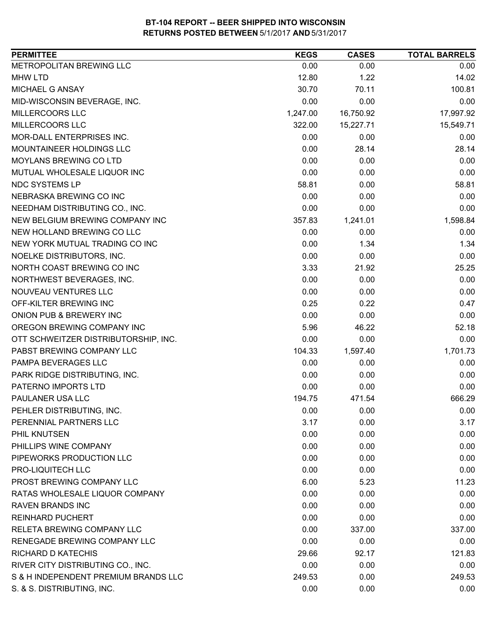| <b>PERMITTEE</b>                     | <b>KEGS</b> | <b>CASES</b> | <b>TOTAL BARRELS</b> |
|--------------------------------------|-------------|--------------|----------------------|
| METROPOLITAN BREWING LLC             | 0.00        | 0.00         | 0.00                 |
| <b>MHW LTD</b>                       | 12.80       | 1.22         | 14.02                |
| MICHAEL G ANSAY                      | 30.70       | 70.11        | 100.81               |
| MID-WISCONSIN BEVERAGE, INC.         | 0.00        | 0.00         | 0.00                 |
| MILLERCOORS LLC                      | 1,247.00    | 16,750.92    | 17,997.92            |
| MILLERCOORS LLC                      | 322.00      | 15,227.71    | 15,549.71            |
| MOR-DALL ENTERPRISES INC.            | 0.00        | 0.00         | 0.00                 |
| MOUNTAINEER HOLDINGS LLC             | 0.00        | 28.14        | 28.14                |
| <b>MOYLANS BREWING CO LTD</b>        | 0.00        | 0.00         | 0.00                 |
| MUTUAL WHOLESALE LIQUOR INC          | 0.00        | 0.00         | 0.00                 |
| NDC SYSTEMS LP                       | 58.81       | 0.00         | 58.81                |
| NEBRASKA BREWING CO INC              | 0.00        | 0.00         | 0.00                 |
| NEEDHAM DISTRIBUTING CO., INC.       | 0.00        | 0.00         | 0.00                 |
| NEW BELGIUM BREWING COMPANY INC      | 357.83      | 1,241.01     | 1,598.84             |
| NEW HOLLAND BREWING CO LLC           | 0.00        | 0.00         | 0.00                 |
| NEW YORK MUTUAL TRADING CO INC       | 0.00        | 1.34         | 1.34                 |
| NOELKE DISTRIBUTORS, INC.            | 0.00        | 0.00         | 0.00                 |
| NORTH COAST BREWING CO INC           | 3.33        | 21.92        | 25.25                |
| NORTHWEST BEVERAGES, INC.            | 0.00        | 0.00         | 0.00                 |
| NOUVEAU VENTURES LLC                 | 0.00        | 0.00         | 0.00                 |
| OFF-KILTER BREWING INC               | 0.25        | 0.22         | 0.47                 |
| ONION PUB & BREWERY INC              | 0.00        | 0.00         | 0.00                 |
| OREGON BREWING COMPANY INC           | 5.96        | 46.22        | 52.18                |
| OTT SCHWEITZER DISTRIBUTORSHIP, INC. | 0.00        | 0.00         | 0.00                 |
| PABST BREWING COMPANY LLC            | 104.33      | 1,597.40     | 1,701.73             |
| PAMPA BEVERAGES LLC                  | 0.00        | 0.00         | 0.00                 |
| PARK RIDGE DISTRIBUTING, INC.        | 0.00        | 0.00         | 0.00                 |
| PATERNO IMPORTS LTD                  | 0.00        | 0.00         | 0.00                 |
| PAULANER USA LLC                     | 194.75      | 471.54       | 666.29               |
| PEHLER DISTRIBUTING, INC.            | 0.00        | 0.00         | 0.00                 |
| PERENNIAL PARTNERS LLC               | 3.17        | 0.00         | 3.17                 |
| PHIL KNUTSEN                         | 0.00        | 0.00         | 0.00                 |
| PHILLIPS WINE COMPANY                | 0.00        | 0.00         | 0.00                 |
| PIPEWORKS PRODUCTION LLC             | 0.00        | 0.00         | 0.00                 |
| PRO-LIQUITECH LLC                    | 0.00        | 0.00         | 0.00                 |
| PROST BREWING COMPANY LLC            | 6.00        | 5.23         | 11.23                |
| RATAS WHOLESALE LIQUOR COMPANY       | 0.00        | 0.00         | 0.00                 |
| <b>RAVEN BRANDS INC</b>              | 0.00        | 0.00         | 0.00                 |
| <b>REINHARD PUCHERT</b>              | 0.00        | 0.00         | 0.00                 |
| RELETA BREWING COMPANY LLC           | 0.00        | 337.00       | 337.00               |
| RENEGADE BREWING COMPANY LLC         | 0.00        | 0.00         | 0.00                 |
| RICHARD D KATECHIS                   | 29.66       | 92.17        | 121.83               |
| RIVER CITY DISTRIBUTING CO., INC.    | 0.00        | 0.00         | 0.00                 |
| S & H INDEPENDENT PREMIUM BRANDS LLC | 249.53      | 0.00         | 249.53               |
| S. & S. DISTRIBUTING, INC.           | 0.00        | 0.00         | 0.00                 |
|                                      |             |              |                      |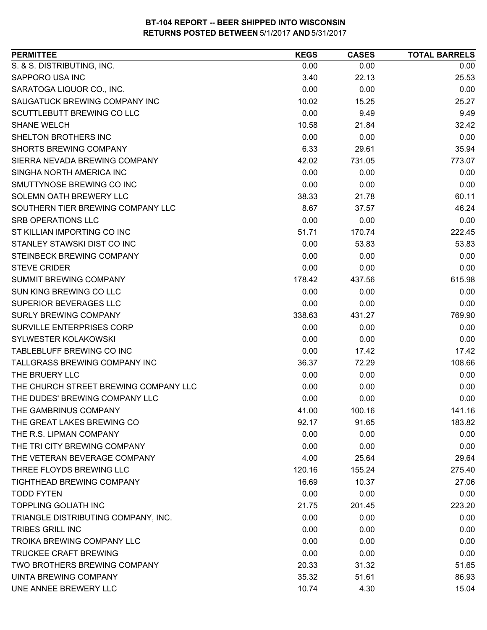| S. & S. DISTRIBUTING, INC.<br>0.00<br>0.00<br>0.00<br>SAPPORO USA INC<br>3.40<br>25.53<br>22.13<br>SARATOGA LIQUOR CO., INC.<br>0.00<br>0.00<br>0.00<br>10.02<br>SAUGATUCK BREWING COMPANY INC<br>15.25<br>25.27<br>0.00<br>SCUTTLEBUTT BREWING CO LLC<br>9.49<br>9.49<br><b>SHANE WELCH</b><br>10.58<br>21.84<br>32.42<br>SHELTON BROTHERS INC<br>0.00<br>0.00<br>0.00<br><b>SHORTS BREWING COMPANY</b><br>6.33<br>29.61<br>35.94<br>SIERRA NEVADA BREWING COMPANY<br>42.02<br>731.05<br>773.07<br>SINGHA NORTH AMERICA INC<br>0.00<br>0.00<br>0.00<br>SMUTTYNOSE BREWING CO INC<br>0.00<br>0.00<br>0.00<br>SOLEMN OATH BREWERY LLC<br>38.33<br>60.11<br>21.78<br>SOUTHERN TIER BREWING COMPANY LLC<br>8.67<br>46.24<br>37.57<br><b>SRB OPERATIONS LLC</b><br>0.00<br>0.00<br>0.00<br>ST KILLIAN IMPORTING CO INC<br>222.45<br>51.71<br>170.74<br>STANLEY STAWSKI DIST CO INC<br>0.00<br>53.83<br>53.83<br>STEINBECK BREWING COMPANY<br>0.00<br>0.00<br>0.00<br><b>STEVE CRIDER</b><br>0.00<br>0.00<br>0.00<br><b>SUMMIT BREWING COMPANY</b><br>615.98<br>178.42<br>437.56<br>SUN KING BREWING CO LLC<br>0.00<br>0.00<br>0.00<br>SUPERIOR BEVERAGES LLC<br>0.00<br>0.00<br>0.00<br><b>SURLY BREWING COMPANY</b><br>338.63<br>769.90<br>431.27<br>SURVILLE ENTERPRISES CORP<br>0.00<br>0.00<br>0.00<br>SYLWESTER KOLAKOWSKI<br>0.00<br>0.00<br>0.00<br>TABLEBLUFF BREWING CO INC<br>0.00<br>17.42<br>17.42<br>TALLGRASS BREWING COMPANY INC<br>108.66<br>36.37<br>72.29<br>THE BRUERY LLC<br>0.00<br>0.00<br>0.00<br>THE CHURCH STREET BREWING COMPANY LLC<br>0.00<br>0.00<br>0.00<br>THE DUDES' BREWING COMPANY LLC<br>0.00<br>0.00<br>0.00<br>THE GAMBRINUS COMPANY<br>41.00<br>100.16<br>141.16<br>THE GREAT LAKES BREWING CO<br>91.65<br>183.82<br>92.17<br>THE R.S. LIPMAN COMPANY<br>0.00<br>0.00<br>0.00<br>THE TRI CITY BREWING COMPANY<br>0.00<br>0.00<br>0.00<br>THE VETERAN BEVERAGE COMPANY<br>4.00<br>25.64<br>29.64<br>THREE FLOYDS BREWING LLC<br>120.16<br>155.24<br>275.40<br><b>TIGHTHEAD BREWING COMPANY</b><br>16.69<br>10.37<br>27.06<br><b>TODD FYTEN</b><br>0.00<br>0.00<br>0.00<br><b>TOPPLING GOLIATH INC</b><br>21.75<br>201.45<br>223.20<br>TRIANGLE DISTRIBUTING COMPANY, INC.<br>0.00<br>0.00<br>0.00<br><b>TRIBES GRILL INC</b><br>0.00<br>0.00<br>0.00<br>TROIKA BREWING COMPANY LLC<br>0.00<br>0.00<br>0.00<br><b>TRUCKEE CRAFT BREWING</b><br>0.00<br>0.00<br>0.00<br>TWO BROTHERS BREWING COMPANY<br>20.33<br>31.32<br>51.65<br>UINTA BREWING COMPANY<br>35.32<br>51.61<br>86.93<br>UNE ANNEE BREWERY LLC<br>10.74<br>4.30 | <b>PERMITTEE</b> | <b>KEGS</b> | <b>CASES</b> | <b>TOTAL BARRELS</b> |
|--------------------------------------------------------------------------------------------------------------------------------------------------------------------------------------------------------------------------------------------------------------------------------------------------------------------------------------------------------------------------------------------------------------------------------------------------------------------------------------------------------------------------------------------------------------------------------------------------------------------------------------------------------------------------------------------------------------------------------------------------------------------------------------------------------------------------------------------------------------------------------------------------------------------------------------------------------------------------------------------------------------------------------------------------------------------------------------------------------------------------------------------------------------------------------------------------------------------------------------------------------------------------------------------------------------------------------------------------------------------------------------------------------------------------------------------------------------------------------------------------------------------------------------------------------------------------------------------------------------------------------------------------------------------------------------------------------------------------------------------------------------------------------------------------------------------------------------------------------------------------------------------------------------------------------------------------------------------------------------------------------------------------------------------------------------------------------------------------------------------------------------------------------------------------------------------------------------------------------------------------------------------------------------------------------------------------------------------------------------------------------------------------------------------------------------------------------------------------------------------------------------------------------------------------------------|------------------|-------------|--------------|----------------------|
|                                                                                                                                                                                                                                                                                                                                                                                                                                                                                                                                                                                                                                                                                                                                                                                                                                                                                                                                                                                                                                                                                                                                                                                                                                                                                                                                                                                                                                                                                                                                                                                                                                                                                                                                                                                                                                                                                                                                                                                                                                                                                                                                                                                                                                                                                                                                                                                                                                                                                                                                                              |                  |             |              |                      |
|                                                                                                                                                                                                                                                                                                                                                                                                                                                                                                                                                                                                                                                                                                                                                                                                                                                                                                                                                                                                                                                                                                                                                                                                                                                                                                                                                                                                                                                                                                                                                                                                                                                                                                                                                                                                                                                                                                                                                                                                                                                                                                                                                                                                                                                                                                                                                                                                                                                                                                                                                              |                  |             |              |                      |
|                                                                                                                                                                                                                                                                                                                                                                                                                                                                                                                                                                                                                                                                                                                                                                                                                                                                                                                                                                                                                                                                                                                                                                                                                                                                                                                                                                                                                                                                                                                                                                                                                                                                                                                                                                                                                                                                                                                                                                                                                                                                                                                                                                                                                                                                                                                                                                                                                                                                                                                                                              |                  |             |              |                      |
|                                                                                                                                                                                                                                                                                                                                                                                                                                                                                                                                                                                                                                                                                                                                                                                                                                                                                                                                                                                                                                                                                                                                                                                                                                                                                                                                                                                                                                                                                                                                                                                                                                                                                                                                                                                                                                                                                                                                                                                                                                                                                                                                                                                                                                                                                                                                                                                                                                                                                                                                                              |                  |             |              |                      |
|                                                                                                                                                                                                                                                                                                                                                                                                                                                                                                                                                                                                                                                                                                                                                                                                                                                                                                                                                                                                                                                                                                                                                                                                                                                                                                                                                                                                                                                                                                                                                                                                                                                                                                                                                                                                                                                                                                                                                                                                                                                                                                                                                                                                                                                                                                                                                                                                                                                                                                                                                              |                  |             |              |                      |
|                                                                                                                                                                                                                                                                                                                                                                                                                                                                                                                                                                                                                                                                                                                                                                                                                                                                                                                                                                                                                                                                                                                                                                                                                                                                                                                                                                                                                                                                                                                                                                                                                                                                                                                                                                                                                                                                                                                                                                                                                                                                                                                                                                                                                                                                                                                                                                                                                                                                                                                                                              |                  |             |              |                      |
|                                                                                                                                                                                                                                                                                                                                                                                                                                                                                                                                                                                                                                                                                                                                                                                                                                                                                                                                                                                                                                                                                                                                                                                                                                                                                                                                                                                                                                                                                                                                                                                                                                                                                                                                                                                                                                                                                                                                                                                                                                                                                                                                                                                                                                                                                                                                                                                                                                                                                                                                                              |                  |             |              |                      |
|                                                                                                                                                                                                                                                                                                                                                                                                                                                                                                                                                                                                                                                                                                                                                                                                                                                                                                                                                                                                                                                                                                                                                                                                                                                                                                                                                                                                                                                                                                                                                                                                                                                                                                                                                                                                                                                                                                                                                                                                                                                                                                                                                                                                                                                                                                                                                                                                                                                                                                                                                              |                  |             |              |                      |
|                                                                                                                                                                                                                                                                                                                                                                                                                                                                                                                                                                                                                                                                                                                                                                                                                                                                                                                                                                                                                                                                                                                                                                                                                                                                                                                                                                                                                                                                                                                                                                                                                                                                                                                                                                                                                                                                                                                                                                                                                                                                                                                                                                                                                                                                                                                                                                                                                                                                                                                                                              |                  |             |              |                      |
|                                                                                                                                                                                                                                                                                                                                                                                                                                                                                                                                                                                                                                                                                                                                                                                                                                                                                                                                                                                                                                                                                                                                                                                                                                                                                                                                                                                                                                                                                                                                                                                                                                                                                                                                                                                                                                                                                                                                                                                                                                                                                                                                                                                                                                                                                                                                                                                                                                                                                                                                                              |                  |             |              |                      |
|                                                                                                                                                                                                                                                                                                                                                                                                                                                                                                                                                                                                                                                                                                                                                                                                                                                                                                                                                                                                                                                                                                                                                                                                                                                                                                                                                                                                                                                                                                                                                                                                                                                                                                                                                                                                                                                                                                                                                                                                                                                                                                                                                                                                                                                                                                                                                                                                                                                                                                                                                              |                  |             |              |                      |
|                                                                                                                                                                                                                                                                                                                                                                                                                                                                                                                                                                                                                                                                                                                                                                                                                                                                                                                                                                                                                                                                                                                                                                                                                                                                                                                                                                                                                                                                                                                                                                                                                                                                                                                                                                                                                                                                                                                                                                                                                                                                                                                                                                                                                                                                                                                                                                                                                                                                                                                                                              |                  |             |              |                      |
|                                                                                                                                                                                                                                                                                                                                                                                                                                                                                                                                                                                                                                                                                                                                                                                                                                                                                                                                                                                                                                                                                                                                                                                                                                                                                                                                                                                                                                                                                                                                                                                                                                                                                                                                                                                                                                                                                                                                                                                                                                                                                                                                                                                                                                                                                                                                                                                                                                                                                                                                                              |                  |             |              |                      |
|                                                                                                                                                                                                                                                                                                                                                                                                                                                                                                                                                                                                                                                                                                                                                                                                                                                                                                                                                                                                                                                                                                                                                                                                                                                                                                                                                                                                                                                                                                                                                                                                                                                                                                                                                                                                                                                                                                                                                                                                                                                                                                                                                                                                                                                                                                                                                                                                                                                                                                                                                              |                  |             |              |                      |
|                                                                                                                                                                                                                                                                                                                                                                                                                                                                                                                                                                                                                                                                                                                                                                                                                                                                                                                                                                                                                                                                                                                                                                                                                                                                                                                                                                                                                                                                                                                                                                                                                                                                                                                                                                                                                                                                                                                                                                                                                                                                                                                                                                                                                                                                                                                                                                                                                                                                                                                                                              |                  |             |              |                      |
|                                                                                                                                                                                                                                                                                                                                                                                                                                                                                                                                                                                                                                                                                                                                                                                                                                                                                                                                                                                                                                                                                                                                                                                                                                                                                                                                                                                                                                                                                                                                                                                                                                                                                                                                                                                                                                                                                                                                                                                                                                                                                                                                                                                                                                                                                                                                                                                                                                                                                                                                                              |                  |             |              |                      |
|                                                                                                                                                                                                                                                                                                                                                                                                                                                                                                                                                                                                                                                                                                                                                                                                                                                                                                                                                                                                                                                                                                                                                                                                                                                                                                                                                                                                                                                                                                                                                                                                                                                                                                                                                                                                                                                                                                                                                                                                                                                                                                                                                                                                                                                                                                                                                                                                                                                                                                                                                              |                  |             |              |                      |
|                                                                                                                                                                                                                                                                                                                                                                                                                                                                                                                                                                                                                                                                                                                                                                                                                                                                                                                                                                                                                                                                                                                                                                                                                                                                                                                                                                                                                                                                                                                                                                                                                                                                                                                                                                                                                                                                                                                                                                                                                                                                                                                                                                                                                                                                                                                                                                                                                                                                                                                                                              |                  |             |              |                      |
|                                                                                                                                                                                                                                                                                                                                                                                                                                                                                                                                                                                                                                                                                                                                                                                                                                                                                                                                                                                                                                                                                                                                                                                                                                                                                                                                                                                                                                                                                                                                                                                                                                                                                                                                                                                                                                                                                                                                                                                                                                                                                                                                                                                                                                                                                                                                                                                                                                                                                                                                                              |                  |             |              |                      |
|                                                                                                                                                                                                                                                                                                                                                                                                                                                                                                                                                                                                                                                                                                                                                                                                                                                                                                                                                                                                                                                                                                                                                                                                                                                                                                                                                                                                                                                                                                                                                                                                                                                                                                                                                                                                                                                                                                                                                                                                                                                                                                                                                                                                                                                                                                                                                                                                                                                                                                                                                              |                  |             |              |                      |
|                                                                                                                                                                                                                                                                                                                                                                                                                                                                                                                                                                                                                                                                                                                                                                                                                                                                                                                                                                                                                                                                                                                                                                                                                                                                                                                                                                                                                                                                                                                                                                                                                                                                                                                                                                                                                                                                                                                                                                                                                                                                                                                                                                                                                                                                                                                                                                                                                                                                                                                                                              |                  |             |              |                      |
|                                                                                                                                                                                                                                                                                                                                                                                                                                                                                                                                                                                                                                                                                                                                                                                                                                                                                                                                                                                                                                                                                                                                                                                                                                                                                                                                                                                                                                                                                                                                                                                                                                                                                                                                                                                                                                                                                                                                                                                                                                                                                                                                                                                                                                                                                                                                                                                                                                                                                                                                                              |                  |             |              |                      |
|                                                                                                                                                                                                                                                                                                                                                                                                                                                                                                                                                                                                                                                                                                                                                                                                                                                                                                                                                                                                                                                                                                                                                                                                                                                                                                                                                                                                                                                                                                                                                                                                                                                                                                                                                                                                                                                                                                                                                                                                                                                                                                                                                                                                                                                                                                                                                                                                                                                                                                                                                              |                  |             |              |                      |
|                                                                                                                                                                                                                                                                                                                                                                                                                                                                                                                                                                                                                                                                                                                                                                                                                                                                                                                                                                                                                                                                                                                                                                                                                                                                                                                                                                                                                                                                                                                                                                                                                                                                                                                                                                                                                                                                                                                                                                                                                                                                                                                                                                                                                                                                                                                                                                                                                                                                                                                                                              |                  |             |              |                      |
|                                                                                                                                                                                                                                                                                                                                                                                                                                                                                                                                                                                                                                                                                                                                                                                                                                                                                                                                                                                                                                                                                                                                                                                                                                                                                                                                                                                                                                                                                                                                                                                                                                                                                                                                                                                                                                                                                                                                                                                                                                                                                                                                                                                                                                                                                                                                                                                                                                                                                                                                                              |                  |             |              |                      |
|                                                                                                                                                                                                                                                                                                                                                                                                                                                                                                                                                                                                                                                                                                                                                                                                                                                                                                                                                                                                                                                                                                                                                                                                                                                                                                                                                                                                                                                                                                                                                                                                                                                                                                                                                                                                                                                                                                                                                                                                                                                                                                                                                                                                                                                                                                                                                                                                                                                                                                                                                              |                  |             |              |                      |
|                                                                                                                                                                                                                                                                                                                                                                                                                                                                                                                                                                                                                                                                                                                                                                                                                                                                                                                                                                                                                                                                                                                                                                                                                                                                                                                                                                                                                                                                                                                                                                                                                                                                                                                                                                                                                                                                                                                                                                                                                                                                                                                                                                                                                                                                                                                                                                                                                                                                                                                                                              |                  |             |              |                      |
|                                                                                                                                                                                                                                                                                                                                                                                                                                                                                                                                                                                                                                                                                                                                                                                                                                                                                                                                                                                                                                                                                                                                                                                                                                                                                                                                                                                                                                                                                                                                                                                                                                                                                                                                                                                                                                                                                                                                                                                                                                                                                                                                                                                                                                                                                                                                                                                                                                                                                                                                                              |                  |             |              |                      |
|                                                                                                                                                                                                                                                                                                                                                                                                                                                                                                                                                                                                                                                                                                                                                                                                                                                                                                                                                                                                                                                                                                                                                                                                                                                                                                                                                                                                                                                                                                                                                                                                                                                                                                                                                                                                                                                                                                                                                                                                                                                                                                                                                                                                                                                                                                                                                                                                                                                                                                                                                              |                  |             |              |                      |
|                                                                                                                                                                                                                                                                                                                                                                                                                                                                                                                                                                                                                                                                                                                                                                                                                                                                                                                                                                                                                                                                                                                                                                                                                                                                                                                                                                                                                                                                                                                                                                                                                                                                                                                                                                                                                                                                                                                                                                                                                                                                                                                                                                                                                                                                                                                                                                                                                                                                                                                                                              |                  |             |              |                      |
|                                                                                                                                                                                                                                                                                                                                                                                                                                                                                                                                                                                                                                                                                                                                                                                                                                                                                                                                                                                                                                                                                                                                                                                                                                                                                                                                                                                                                                                                                                                                                                                                                                                                                                                                                                                                                                                                                                                                                                                                                                                                                                                                                                                                                                                                                                                                                                                                                                                                                                                                                              |                  |             |              |                      |
|                                                                                                                                                                                                                                                                                                                                                                                                                                                                                                                                                                                                                                                                                                                                                                                                                                                                                                                                                                                                                                                                                                                                                                                                                                                                                                                                                                                                                                                                                                                                                                                                                                                                                                                                                                                                                                                                                                                                                                                                                                                                                                                                                                                                                                                                                                                                                                                                                                                                                                                                                              |                  |             |              |                      |
|                                                                                                                                                                                                                                                                                                                                                                                                                                                                                                                                                                                                                                                                                                                                                                                                                                                                                                                                                                                                                                                                                                                                                                                                                                                                                                                                                                                                                                                                                                                                                                                                                                                                                                                                                                                                                                                                                                                                                                                                                                                                                                                                                                                                                                                                                                                                                                                                                                                                                                                                                              |                  |             |              |                      |
|                                                                                                                                                                                                                                                                                                                                                                                                                                                                                                                                                                                                                                                                                                                                                                                                                                                                                                                                                                                                                                                                                                                                                                                                                                                                                                                                                                                                                                                                                                                                                                                                                                                                                                                                                                                                                                                                                                                                                                                                                                                                                                                                                                                                                                                                                                                                                                                                                                                                                                                                                              |                  |             |              |                      |
|                                                                                                                                                                                                                                                                                                                                                                                                                                                                                                                                                                                                                                                                                                                                                                                                                                                                                                                                                                                                                                                                                                                                                                                                                                                                                                                                                                                                                                                                                                                                                                                                                                                                                                                                                                                                                                                                                                                                                                                                                                                                                                                                                                                                                                                                                                                                                                                                                                                                                                                                                              |                  |             |              |                      |
|                                                                                                                                                                                                                                                                                                                                                                                                                                                                                                                                                                                                                                                                                                                                                                                                                                                                                                                                                                                                                                                                                                                                                                                                                                                                                                                                                                                                                                                                                                                                                                                                                                                                                                                                                                                                                                                                                                                                                                                                                                                                                                                                                                                                                                                                                                                                                                                                                                                                                                                                                              |                  |             |              |                      |
|                                                                                                                                                                                                                                                                                                                                                                                                                                                                                                                                                                                                                                                                                                                                                                                                                                                                                                                                                                                                                                                                                                                                                                                                                                                                                                                                                                                                                                                                                                                                                                                                                                                                                                                                                                                                                                                                                                                                                                                                                                                                                                                                                                                                                                                                                                                                                                                                                                                                                                                                                              |                  |             |              |                      |
|                                                                                                                                                                                                                                                                                                                                                                                                                                                                                                                                                                                                                                                                                                                                                                                                                                                                                                                                                                                                                                                                                                                                                                                                                                                                                                                                                                                                                                                                                                                                                                                                                                                                                                                                                                                                                                                                                                                                                                                                                                                                                                                                                                                                                                                                                                                                                                                                                                                                                                                                                              |                  |             |              |                      |
|                                                                                                                                                                                                                                                                                                                                                                                                                                                                                                                                                                                                                                                                                                                                                                                                                                                                                                                                                                                                                                                                                                                                                                                                                                                                                                                                                                                                                                                                                                                                                                                                                                                                                                                                                                                                                                                                                                                                                                                                                                                                                                                                                                                                                                                                                                                                                                                                                                                                                                                                                              |                  |             |              |                      |
|                                                                                                                                                                                                                                                                                                                                                                                                                                                                                                                                                                                                                                                                                                                                                                                                                                                                                                                                                                                                                                                                                                                                                                                                                                                                                                                                                                                                                                                                                                                                                                                                                                                                                                                                                                                                                                                                                                                                                                                                                                                                                                                                                                                                                                                                                                                                                                                                                                                                                                                                                              |                  |             |              |                      |
|                                                                                                                                                                                                                                                                                                                                                                                                                                                                                                                                                                                                                                                                                                                                                                                                                                                                                                                                                                                                                                                                                                                                                                                                                                                                                                                                                                                                                                                                                                                                                                                                                                                                                                                                                                                                                                                                                                                                                                                                                                                                                                                                                                                                                                                                                                                                                                                                                                                                                                                                                              |                  |             |              |                      |
|                                                                                                                                                                                                                                                                                                                                                                                                                                                                                                                                                                                                                                                                                                                                                                                                                                                                                                                                                                                                                                                                                                                                                                                                                                                                                                                                                                                                                                                                                                                                                                                                                                                                                                                                                                                                                                                                                                                                                                                                                                                                                                                                                                                                                                                                                                                                                                                                                                                                                                                                                              |                  |             |              |                      |
|                                                                                                                                                                                                                                                                                                                                                                                                                                                                                                                                                                                                                                                                                                                                                                                                                                                                                                                                                                                                                                                                                                                                                                                                                                                                                                                                                                                                                                                                                                                                                                                                                                                                                                                                                                                                                                                                                                                                                                                                                                                                                                                                                                                                                                                                                                                                                                                                                                                                                                                                                              |                  |             |              |                      |
|                                                                                                                                                                                                                                                                                                                                                                                                                                                                                                                                                                                                                                                                                                                                                                                                                                                                                                                                                                                                                                                                                                                                                                                                                                                                                                                                                                                                                                                                                                                                                                                                                                                                                                                                                                                                                                                                                                                                                                                                                                                                                                                                                                                                                                                                                                                                                                                                                                                                                                                                                              |                  |             |              |                      |
|                                                                                                                                                                                                                                                                                                                                                                                                                                                                                                                                                                                                                                                                                                                                                                                                                                                                                                                                                                                                                                                                                                                                                                                                                                                                                                                                                                                                                                                                                                                                                                                                                                                                                                                                                                                                                                                                                                                                                                                                                                                                                                                                                                                                                                                                                                                                                                                                                                                                                                                                                              |                  |             |              | 15.04                |